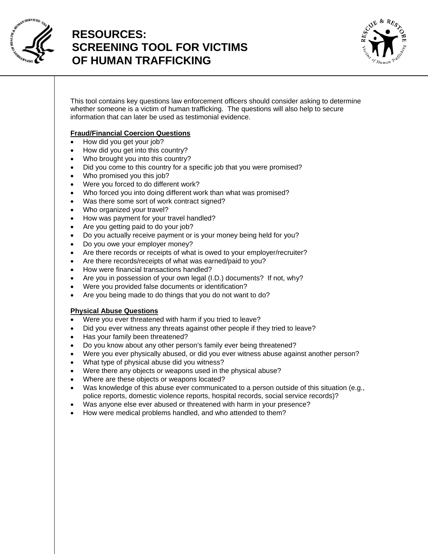

# **RESOURCES: SCREENING TOOL FOR VICTIMS OF HUMAN TRAFFICKING**



This tool contains key questions law enforcement officers should consider asking to determine whether someone is a victim of human trafficking. The questions will also help to secure information that can later be used as testimonial evidence.

## **Fraud/Financial Coercion Questions**

- How did you get your job?
- How did you get into this country?
- Who brought you into this country?
- Did you come to this country for a specific job that you were promised?
- Who promised you this job?
- Were you forced to do different work?
- Who forced you into doing different work than what was promised?
- Was there some sort of work contract signed?
- Who organized your travel?
- How was payment for your travel handled?
- Are you getting paid to do your job?
- Do you actually receive payment or is your money being held for you?
- Do you owe your employer money?
- Are there records or receipts of what is owed to your employer/recruiter?
- Are there records/receipts of what was earned/paid to you?
- How were financial transactions handled?
- Are you in possession of your own legal (I.D.) documents? If not, why?
- Were you provided false documents or identification?
- Are you being made to do things that you do not want to do?

## **Physical Abuse Questions**

- Were you ever threatened with harm if you tried to leave?
- Did you ever witness any threats against other people if they tried to leave?
- Has your family been threatened?
- Do you know about any other person's family ever being threatened?
- Were you ever physically abused, or did you ever witness abuse against another person?
- What type of physical abuse did you witness?
- Were there any objects or weapons used in the physical abuse?
- Where are these objects or weapons located?
- Was knowledge of this abuse ever communicated to a person outside of this situation (e.g., police reports, domestic violence reports, hospital records, social service records)?
- Was anyone else ever abused or threatened with harm in your presence?
- How were medical problems handled, and who attended to them?